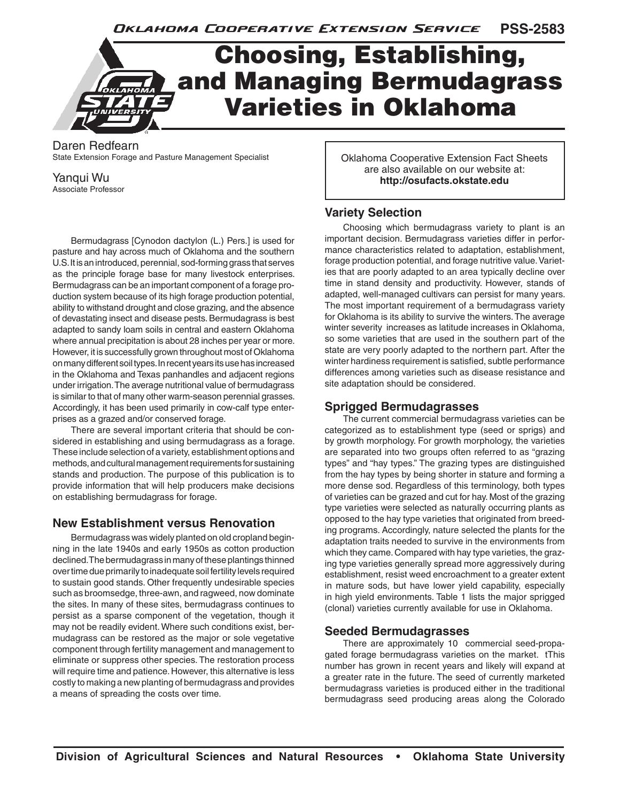**PSS-2583** Oklahoma Cooperative Extension Service

# Choosing, Establishing, and Managing Bermudagrass Varieties in Oklahoma

Daren Redfearn State Extension Forage and Pasture Management Specialist

Yanqui Wu Associate Professor

Bermudagrass [Cynodon dactylon (L.) Pers.] is used for pasture and hay across much of Oklahoma and the southern U.S. It is an introduced, perennial, sod-forming grass that serves as the principle forage base for many livestock enterprises. Bermudagrass can be an important component of a forage production system because of its high forage production potential, ability to withstand drought and close grazing, and the absence of devastating insect and disease pests. Bermudagrass is best adapted to sandy loam soils in central and eastern Oklahoma where annual precipitation is about 28 inches per year or more. However, it is successfully grown throughout most of Oklahoma on many different soil types. In recent years its use has increased in the Oklahoma and Texas panhandles and adjacent regions under irrigation. The average nutritional value of bermudagrass is similar to that of many other warm-season perennial grasses. Accordingly, it has been used primarily in cow-calf type enterprises as a grazed and/or conserved forage.

There are several important criteria that should be considered in establishing and using bermudagrass as a forage. These include selection of a variety, establishment options and methods, and cultural management requirements for sustaining stands and production. The purpose of this publication is to provide information that will help producers make decisions on establishing bermudagrass for forage.

# **New Establishment versus Renovation**

Bermudagrass was widely planted on old cropland beginning in the late 1940s and early 1950s as cotton production declined. The bermudagrass in many of these plantings thinned over time due primarily to inadequate soil fertility levels required to sustain good stands. Other frequently undesirable species such as broomsedge, three-awn, and ragweed, now dominate the sites. In many of these sites, bermudagrass continues to persist as a sparse component of the vegetation, though it may not be readily evident. Where such conditions exist, bermudagrass can be restored as the major or sole vegetative component through fertility management and management to eliminate or suppress other species. The restoration process will require time and patience. However, this alternative is less costly to making a new planting of bermudagrass and provides a means of spreading the costs over time.

Oklahoma Cooperative Extension Fact Sheets are also available on our website at: **http://osufacts.okstate.edu**

# **Variety Selection**

 Choosing which bermudagrass variety to plant is an important decision. Bermudagrass varieties differ in performance characteristics related to adaptation, establishment, forage production potential, and forage nutritive value. Varieties that are poorly adapted to an area typically decline over time in stand density and productivity. However, stands of adapted, well-managed cultivars can persist for many years. The most important requirement of a bermudagrass variety for Oklahoma is its ability to survive the winters. The average winter severity increases as latitude increases in Oklahoma, so some varieties that are used in the southern part of the state are very poorly adapted to the northern part. After the winter hardiness requirement is satisfied, subtle performance differences among varieties such as disease resistance and site adaptation should be considered.

## **Sprigged Bermudagrasses**

 The current commercial bermudagrass varieties can be categorized as to establishment type (seed or sprigs) and by growth morphology. For growth morphology, the varieties are separated into two groups often referred to as "grazing types" and "hay types." The grazing types are distinguished from the hay types by being shorter in stature and forming a more dense sod. Regardless of this terminology, both types of varieties can be grazed and cut for hay. Most of the grazing type varieties were selected as naturally occurring plants as opposed to the hay type varieties that originated from breeding programs. Accordingly, nature selected the plants for the adaptation traits needed to survive in the environments from which they came. Compared with hay type varieties, the grazing type varieties generally spread more aggressively during establishment, resist weed encroachment to a greater extent in mature sods, but have lower yield capability, especially in high yield environments. Table 1 lists the major sprigged (clonal) varieties currently available for use in Oklahoma.

## **Seeded Bermudagrasses**

 There are approximately 10 commercial seed-propagated forage bermudagrass varieties on the market. tThis number has grown in recent years and likely will expand at a greater rate in the future. The seed of currently marketed bermudagrass varieties is produced either in the traditional bermudagrass seed producing areas along the Colorado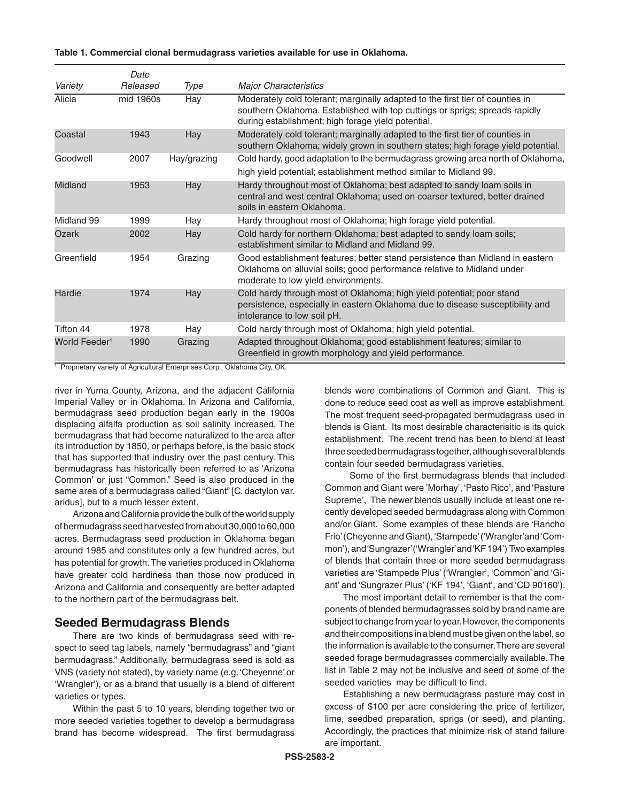| Table 1. Commercial clonal bermudagrass varieties available for use in Oklahoma. |  |
|----------------------------------------------------------------------------------|--|
|----------------------------------------------------------------------------------|--|

|                           | Date      |             |                                                                                                                                                                                                                    |
|---------------------------|-----------|-------------|--------------------------------------------------------------------------------------------------------------------------------------------------------------------------------------------------------------------|
| Variety                   | Released  | Type        | <b>Major Characteristics</b>                                                                                                                                                                                       |
| Alicia                    | mid 1960s | <b>Hay</b>  | Moderately cold tolerant; marginally adapted to the first tier of counties in<br>southern Oklahoma. Established with top cuttings or sprigs; spreads rapidly<br>during establishment; high forage yield potential. |
| Coastal                   | 1943      | Hay         | Moderately cold tolerant; marginally adapted to the first tier of counties in<br>southern Oklahoma; widely grown in southern states; high forage yield potential.                                                  |
| Goodwell                  | 2007      | Hay/grazing | Cold hardy, good adaptation to the bermudagrass growing area north of Oklahoma,<br>high yield potential; establishment method similar to Midland 99.                                                               |
| Midland                   | 1953      | Hay         | Hardy throughout most of Oklahoma; best adapted to sandy loam soils in<br>central and west central Oklahoma; used on coarser textured, better drained<br>soils in eastern Oklahoma.                                |
| Midland 99                | 1999      | Hay         | Hardy throughout most of Oklahoma; high forage yield potential.                                                                                                                                                    |
| Ozark                     | 2002      | Hay         | Cold hardy for northern Oklahoma; best adapted to sandy loam soils;<br>establishment similar to Midland and Midland 99.                                                                                            |
| Greenfield                | 1954      | Grazing     | Good establishment features; better stand persistence than Midland in eastern<br>Oklahoma on alluvial soils; good performance relative to Midland under<br>moderate to low yield environments.                     |
| Hardie                    | 1974      | Hay         | Cold hardy through most of Oklahoma; high yield potential; poor stand<br>persistence, especially in eastern Oklahoma due to disease susceptibility and<br>intolerance to low soil pH.                              |
| Tifton 44                 | 1978      | Hay         | Cold hardy through most of Oklahoma; high yield potential.                                                                                                                                                         |
| World Feeder <sup>1</sup> | 1990      | Grazing     | Adapted throughout Oklahoma; good establishment features; similar to<br>Greenfield in growth morphology and yield performance.                                                                                     |

<sup>1</sup> Proprietary variety of Agricultural Enterprises Corp., Oklahoma City, OK.

river in Yuma County, Arizona, and the adjacent California Imperial Valley or in Oklahoma. In Arizona and California, bermudagrass seed production began early in the 1900s displacing alfalfa production as soil salinity increased. The bermudagrass that had become naturalized to the area after its introduction by 1850, or perhaps before, is the basic stock that has supported that industry over the past century. This bermudagrass has historically been referred to as 'Arizona Common' or just "Common." Seed is also produced in the same area of a bermudagrass called "Giant" [C. dactylon var. aridus], but to a much lesser extent.

Arizona and California provide the bulk of the world supply of bermudagrass seed harvested from about 30,000 to 60,000 acres. Bermudagrass seed production in Oklahoma began around 1985 and constitutes only a few hundred acres, but has potential for growth. The varieties produced in Oklahoma have greater cold hardiness than those now produced in Arizona and California and consequently are better adapted to the northern part of the bermudagrass belt.

## **Seeded Bermudagrass Blends**

There are two kinds of bermudagrass seed with respect to seed tag labels, namely "bermudagrass" and "giant bermudagrass." Additionally, bermudagrass seed is sold as VNS (variety not stated), by variety name (e.g. 'Cheyenne' or 'Wrangler'), or as a brand that usually is a blend of different varieties or types.

Within the past 5 to 10 years, blending together two or more seeded varieties together to develop a bermudagrass brand has become widespread. The first bermudagrass blends were combinations of Common and Giant. This is done to reduce seed cost as well as improve establishment. The most frequent seed-propagated bermudagrass used in blends is Giant. Its most desirable characterisitic is its quick establishment. The recent trend has been to blend at least three seeded bermudagrass together, although several blends contain four seeded bermudagrass varieties.

 Some of the first bermudagrass blends that included Common and Giant were 'Morhay', 'Pasto Rico', and 'Pasture Supreme', The newer blends usually include at least one recently developed seeded bermudagrass along with Common and/or Giant. Some examples of these blends are 'Rancho Frio' (Cheyenne and Giant), 'Stampede' ('Wrangler'and 'Common'), and 'Sungrazer' ('Wrangler' and 'KF 194') Two examples of blends that contain three or more seeded bermudagrass varieties are 'Stampede Plus' ('Wrangler', 'Common' and 'Giant' and 'Sungrazer Plus' ('KF 194', 'Giant', and 'CD 90160').

The most important detail to remember is that the components of blended bermudagrasses sold by brand name are subject to change from year to year. However, the components and their compositions in a blend must be given on the label, so the information is available to the consumer. There are several seeded forage bermudagrasses commercially available. The list in Table 2 may not be inclusive and seed of some of the seeded varieties may be difficult to find.

Establishing a new bermudagrass pasture may cost in excess of \$100 per acre considering the price of fertilizer, lime, seedbed preparation, sprigs (or seed), and planting. Accordingly, the practices that minimize risk of stand failure are important.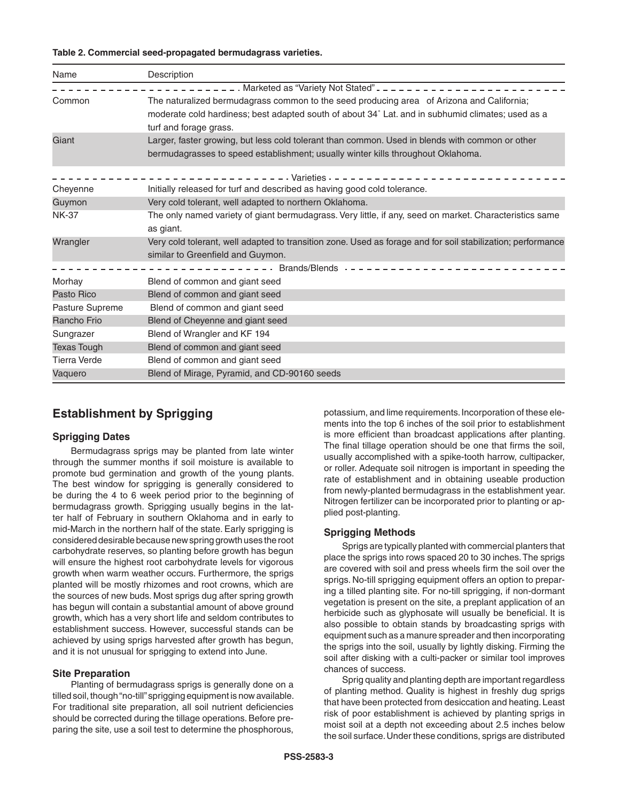#### **Table 2. Commercial seed-propagated bermudagrass varieties.**

| Name                | Description                                                                                                                                                                                                              |
|---------------------|--------------------------------------------------------------------------------------------------------------------------------------------------------------------------------------------------------------------------|
|                     |                                                                                                                                                                                                                          |
| Common              | The naturalized bermudagrass common to the seed producing area of Arizona and California;<br>moderate cold hardiness; best adapted south of about 34° Lat. and in subhumid climates; used as a<br>turf and forage grass. |
| Giant               | Larger, faster growing, but less cold tolerant than common. Used in blends with common or other<br>bermudagrasses to speed establishment; usually winter kills throughout Oklahoma.                                      |
|                     | - - - - - - - - - - - - . Varieties - - - - - - - - - - - - - - - - - -                                                                                                                                                  |
| Cheyenne            | Initially released for turf and described as having good cold tolerance.                                                                                                                                                 |
| Guymon              | Very cold tolerant, well adapted to northern Oklahoma.                                                                                                                                                                   |
| <b>NK-37</b>        | The only named variety of giant bermudagrass. Very little, if any, seed on market. Characteristics same                                                                                                                  |
|                     | as giant.                                                                                                                                                                                                                |
| Wrangler            | Very cold tolerant, well adapted to transition zone. Used as forage and for soil stabilization; performance                                                                                                              |
|                     | similar to Greenfield and Guymon.                                                                                                                                                                                        |
|                     | $- - - - - - - - -$ Brands/Blends $- - - - - - - - - - - - -$                                                                                                                                                            |
| Morhay              | Blend of common and giant seed                                                                                                                                                                                           |
| Pasto Rico          | Blend of common and giant seed                                                                                                                                                                                           |
| Pasture Supreme     | Blend of common and giant seed                                                                                                                                                                                           |
| Rancho Frio         | Blend of Cheyenne and giant seed                                                                                                                                                                                         |
| Sungrazer           | Blend of Wrangler and KF 194                                                                                                                                                                                             |
| <b>Texas Tough</b>  | Blend of common and giant seed                                                                                                                                                                                           |
| <b>Tierra Verde</b> | Blend of common and giant seed                                                                                                                                                                                           |
| Vaquero             | Blend of Mirage, Pyramid, and CD-90160 seeds                                                                                                                                                                             |

# **Establishment by Sprigging**

### **Sprigging Dates**

Bermudagrass sprigs may be planted from late winter through the summer months if soil moisture is available to promote bud germination and growth of the young plants. The best window for sprigging is generally considered to be during the 4 to 6 week period prior to the beginning of bermudagrass growth. Sprigging usually begins in the latter half of February in southern Oklahoma and in early to mid-March in the northern half of the state. Early sprigging is considered desirable because new spring growth uses the root carbohydrate reserves, so planting before growth has begun will ensure the highest root carbohydrate levels for vigorous growth when warm weather occurs. Furthermore, the sprigs planted will be mostly rhizomes and root crowns, which are the sources of new buds. Most sprigs dug after spring growth has begun will contain a substantial amount of above ground growth, which has a very short life and seldom contributes to establishment success. However, successful stands can be achieved by using sprigs harvested after growth has begun, and it is not unusual for sprigging to extend into June.

#### **Site Preparation**

Planting of bermudagrass sprigs is generally done on a tilled soil, though "no-till" sprigging equipment is now available. For traditional site preparation, all soil nutrient deficiencies should be corrected during the tillage operations. Before preparing the site, use a soil test to determine the phosphorous, potassium, and lime requirements. Incorporation of these elements into the top 6 inches of the soil prior to establishment is more efficient than broadcast applications after planting. The final tillage operation should be one that firms the soil, usually accomplished with a spike-tooth harrow, cultipacker, or roller. Adequate soil nitrogen is important in speeding the rate of establishment and in obtaining useable production from newly-planted bermudagrass in the establishment year. Nitrogen fertilizer can be incorporated prior to planting or applied post-planting.

#### **Sprigging Methods**

Sprigs are typically planted with commercial planters that place the sprigs into rows spaced 20 to 30 inches. The sprigs are covered with soil and press wheels firm the soil over the sprigs. No-till sprigging equipment offers an option to preparing a tilled planting site. For no-till sprigging, if non-dormant vegetation is present on the site, a preplant application of an herbicide such as glyphosate will usually be beneficial. It is also possible to obtain stands by broadcasting sprigs with equipment such as a manure spreader and then incorporating the sprigs into the soil, usually by lightly disking. Firming the soil after disking with a culti-packer or similar tool improves chances of success.

 Sprig quality and planting depth are important regardless of planting method. Quality is highest in freshly dug sprigs that have been protected from desiccation and heating. Least risk of poor establishment is achieved by planting sprigs in moist soil at a depth not exceeding about 2.5 inches below the soil surface. Under these conditions, sprigs are distributed